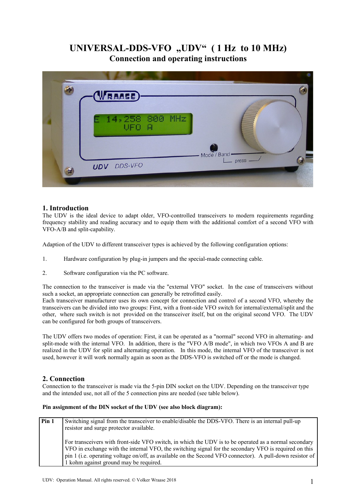# UNIVERSAL-DDS-VFO "UDV" (1 Hz to 10 MHz) **Connection and operating instructions**



## **1. Introduction**

The UDV is the ideal device to adapt older, VFO-controlled transceivers to modern requirements regarding frequency stability and reading accuracy and to equip them with the additional comfort of a second VFO with VFO-A/B and split-capability.

Adaption of the UDV to different transceiver types is achieved by the following configuration options:

- 1. Hardware configuration by plug-in jumpers and the special-made connecting cable.
- 2. Software configuration via the PC software.

The connection to the transceiver is made via the "external VFO" socket. In the case of transceivers without such a socket, an appropriate connection can generally be retrofitted easily.

Each transceiver manufacturer uses its own concept for connection and control of a second VFO, whereby the transceivers can be divided into two groups: First, with a front-side VFO switch for internal/external/split and the other, where such switch is not provided on the transceiver itself, but on the original second VFO. The UDV can be configured for both groups of transceivers.

The UDV offers two modes of operation: First, it can be operated as a "normal" second VFO in alternating- and split-mode with the internal VFO. In addition, there is the "VFO A/B mode", in which two VFOs A and B are realized in the UDV for split and alternating operation. In this mode, the internal VFO of the transceiver is not used, however it will work normally again as soon as the DDS-VFO is switched off or the mode is changed.

## **2. Connection**

Connection to the transceiver is made via the 5-pin DIN socket on the UDV. Depending on the transceiver type and the intended use, not all of the 5 connection pins are needed (see table below).

### **Pin assignment of the DIN socket of the UDV (see also block diagram):**

| Pin <sub>1</sub> | Switching signal from the transceiver to enable/disable the DDS-VFO. There is an internal pull-up<br>resistor and surge protector available.                                                                                                                                                                                                                         |
|------------------|----------------------------------------------------------------------------------------------------------------------------------------------------------------------------------------------------------------------------------------------------------------------------------------------------------------------------------------------------------------------|
|                  | For transceivers with front-side VFO switch, in which the UDV is to be operated as a normal secondary<br>VFO in exchange with the internal VFO, the switching signal for the secondary VFO is required on this<br>pin 1 (i.e. operating voltage on/off, as available on the Second VFO connector). A pull-down resistor of<br>1 kohm against ground may be required. |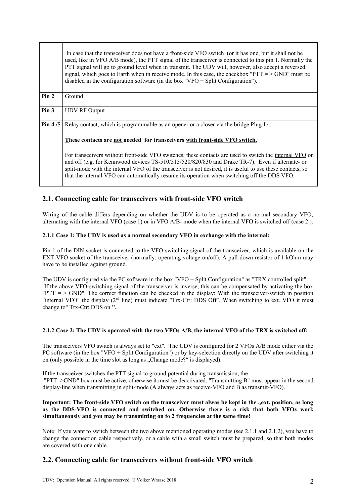|                  | In case that the transceiver does not have a front-side VFO switch (or it has one, but it shall not be<br>used, like in VFO A/B mode), the PTT signal of the transceiver is connected to this pin 1. Normally the<br>PTT signal will go to ground level when in transmit. The UDV will, however, also accept a reversed<br>signal, which goes to Earth when in receive mode. In this case, the checkbox " $PTT = > GND$ " must be<br>disabled in the configuration software (in the box "VFO $+$ Split Configuration"). |  |  |  |  |
|------------------|-------------------------------------------------------------------------------------------------------------------------------------------------------------------------------------------------------------------------------------------------------------------------------------------------------------------------------------------------------------------------------------------------------------------------------------------------------------------------------------------------------------------------|--|--|--|--|
| Pin <sub>2</sub> | Ground                                                                                                                                                                                                                                                                                                                                                                                                                                                                                                                  |  |  |  |  |
| Pin 3            | <b>UDV RF Output</b>                                                                                                                                                                                                                                                                                                                                                                                                                                                                                                    |  |  |  |  |
| Pin $4/5$        | Relay contact, which is programmable as an opener or a closer via the bridge Plug J 4.                                                                                                                                                                                                                                                                                                                                                                                                                                  |  |  |  |  |
|                  | These contacts are not needed for transceivers with front-side VFO switch,                                                                                                                                                                                                                                                                                                                                                                                                                                              |  |  |  |  |
|                  | For transceivers without front-side VFO switches, these contacts are used to switch the internal VFO on<br>and off (e.g. for Kennwood devices TS-510/515/520/820/830 and Drake TR-7). Even if alternate- or<br>split-mode with the internal VFO of the transceiver is not desired, it is useful to use these contacts, so<br>that the internal VFO can automatically resume its operation when switching off the DDS VFO.                                                                                               |  |  |  |  |

# **2.1. Connecting cable for transceivers with front-side VFO switch**

Wiring of the cable differs depending on whether the UDV is to be operated as a normal secondary VFO, alternating with the internal VFO (case 1) or in VFO A/B- mode when the internal VFO is switched off (case 2 ).

### **2.1.1 Case 1: The UDV is used as a normal secondary VFO in exchange with the internal:**

Pin 1 of the DIN socket is connected to the VFO-switching signal of the transceiver, which is available on the EXT-VFO socket of the transceiver (normally: operating voltage on/off). A pull-down resistor of 1 kOhm may have to be installed against ground.

The UDV is configured via the PC software in the box "VFO + Split Configuration" as "TRX controlled split". If the above VFO-switching signal of the transceiver is inverse, this can be compensated by activating the box " $PTT = \geq GND$ ". The correct function can be checked in the display: With the transceiver-switch in position "internal VFO" the display  $(2<sup>nd</sup>$  line) must indicate "Trx-Ctr: DDS Off". When switching to ext. VFO it must change to" Trx-Ctr: DDS on **".**

### **2.1.2 Case 2: The UDV is operated with the two VFOs A/B, the internal VFO of the TRX is switched off:**

The transceivers VFO switch is always set to "ext". The UDV is configured for 2 VFOs A/B mode either via the PC software (in the box "VFO + Split Configuration") or by key-selection directly on the UDV after switching it on (only possible in the time slot as long as "Change mode?" is displayed).

If the transceiver switches the PTT signal to ground potential during transmission, the "PTT=>GND" box must be active, otherwise it must be deactivated. "Transmitting B" must appear in the second display-line when transmitting in split-mode (A always acts as receive-VFO and B as transmit-VFO).

### Important: The front-side VFO switch on the transceiver must alwas be kept in the "ext. position, as long **as the DDS-VFO is connected and switched on. Otherwise there is a risk that both VFOs work simultaneously and you may be transmitting on to 2 frequencies at the same time!**

Note: If you want to switch between the two above mentioned operating modes (see 2.1.1 and 2.1.2), you have to change the connection cable respectively, or a cable with a small switch must be prepared, so that both modes are covered with one cable.

# **2.2. Connecting cable for transceivers without front-side VFO switch**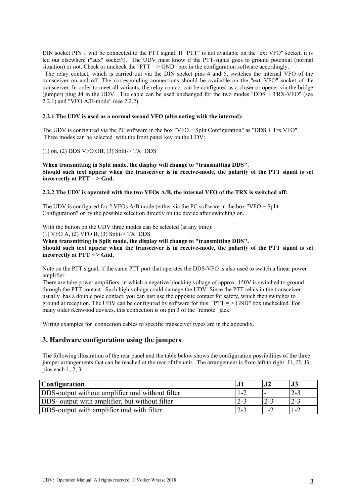DIN socket PIN 1 will be connected to the PTT signal. If "PTT" is not available on the "ext VFO" socket, it is led out elsewhere ("aux" socket?). The UDV must know if the PTT-signal goes to ground potential (normal situation) or not. Check or uncheck the "PTT  $=$  > GND" box in the configuration software accordingly.

 The relay contact, which is carried out via the DIN socket pins 4 and 5, switches the internal VFO of the transceiver on and off. The corresponding connections should be available on the "ext.-VFO" socket of the transceiver. In order to meet all variants, the relay contact can be configured as a closer or opener via the bridge (jumper) plug J4 in the UDV. The cable can be used unchanged for the two modes "DDS + TRX-VFO" (see 2.2.1) and "VFO A/B-mode" (see 2.2.2).

#### **2.2.1 The UDV is used as a normal second VFO (alternating with the internal):**

The UDV is configured via the PC software in the box "VFO + Split Configuration" as "DDS + Trx VFO". Three modes can be selected with the front panel key on the UDV:

(1) on, (2) DDS VFO Off, (3) Split-> TX: DDS

**When transmitting in Split mode, the display will change to "transmitting DDS". Should such text appear when the transceiver is in receive-mode, the polarity of the PTT signal is set incorrectly at PTT = > Gnd.**

#### **2.2.2 The UDV is operated with the two VFOs A/B, the internal VFO of the TRX is switched off:**

The UDV is configured for 2 VFOs A/B mode (either via the PC software in the box "VFO + Split Configuration" or by the possible selection directly on the device after switching on.

With the button on the UDV three modes can be selected (at any time): (1) VFO A, (2) VFO B, (3) Split-> TX: DDS

**When transmitting in Split mode, the display will change to "transmitting DDS".** 

**Should such text appear when the transceiver is in receive-mode, the polarity of the PTT signal is set incorrectly at PTT = > Gnd.**

Note on the PTT signal, if the same PTT port that operates the DDS-VFO is also used to switch a linear power amplifier:

There are tube power amplifiers, in which a negative blocking voltage of approx. 150V is switched to ground through the PTT contact. Such high voltage could damage the UDV. Since the PTT relais in the transceiver usually has a double pole contact, you can just use the opposite contact for safety, which then switches to ground at reception. The UDV can be configured by software for this: "PTT = > GND" box unchecked. For many older Kenwood devices, this connection is on pin 3 of the "remote" jack.

Wiring examples for connection cables to specific transceiver types are in the appendix.

### **3. Hardware configuration using the jumpers**

The following illustration of the rear panel and the table below shows the configuration possibilities of the three jumper arrangements that can be reached at the rear of the unit. The arrangement is from left to right: J1, J2, J3, pins each 1, 2, 3.

| <b>Configuration</b>                            |         |                          | IJ      |
|-------------------------------------------------|---------|--------------------------|---------|
| DDS-output without amplifier und without filter | 1-2     |                          | $2 - 3$ |
| DDS- output with amplifier, but without filter  | $12-2$  |                          | $2 - 3$ |
| DDS-output with amplifier und with filter       | $2 - 3$ | $\overline{\phantom{0}}$ |         |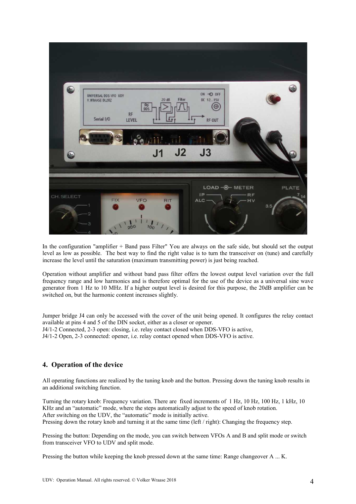

In the configuration "amplifier + Band pass Filter" You are always on the safe side, but should set the output level as low as possible. The best way to find the right value is to turn the transceiver on (tune) and carefully increase the level until the saturation (maximum transmitting power) is just being reached.

Operation without amplifier and without band pass filter offers the lowest output level variation over the full frequency range and low harmonics and is therefore optimal for the use of the device as a universal sine wave generator from 1 Hz to 10 MHz. If a higher output level is desired for this purpose, the 20dB amplifier can be switched on, but the harmonic content increases slightly.

Jumper bridge J4 can only be accessed with the cover of the unit being opened. It configures the relay contact available at pins 4 and 5 of the DIN socket, either as a closer or opener. J4/1-2 Connected, 2-3 open: closing, i.e. relay contact closed when DDS-VFO is active, J4/1-2 Open, 2-3 connected: opener, i.e. relay contact opened when DDS-VFO is active.

### **4. Operation of the device**

All operating functions are realized by the tuning knob and the button. Pressing down the tuning knob results in an additional switching function.

Turning the rotary knob: Frequency variation. There are fixed increments of 1 Hz, 10 Hz, 100 Hz, 1 kHz, 10 KHz and an "automatic" mode, where the steps automatically adjust to the speed of knob rotation. After switching on the UDV, the "automatic" mode is initially active. Pressing down the rotary knob and turning it at the same time (left / right): Changing the frequency step.

Pressing the button: Depending on the mode, you can switch between VFOs A and B and split mode or switch from transceiver VFO to UDV and split mode.

Pressing the button while keeping the knob pressed down at the same time: Range changeover A ... K.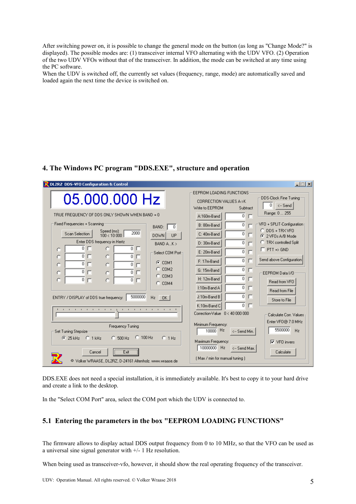After switching power on, it is possible to change the general mode on the button (as long as "Change Mode?" is displayed). The possible modes are: (1) transceiver internal VFO alternating with the UDV VFO. (2) Operation of the two UDV VFOs without that of the transceiver. In addition, the mode can be switched at any time using the PC software.

When the UDV is switched off, the currently set values (frequency, range, mode) are automatically saved and loaded again the next time the device is switched on.

# **4. The Windows PC program "DDS.EXE", structure and operation**

| R DL2RZ DDS-VFO Configuration & Control                                                                                                                                                                                                                                                                                                                                                                                                                                                                                                                                                                                                       | $ \Box$ $\times$                                                                                                                                                                                                                                                                                                                                                                                                                                                                                                                                                                                                                  |
|-----------------------------------------------------------------------------------------------------------------------------------------------------------------------------------------------------------------------------------------------------------------------------------------------------------------------------------------------------------------------------------------------------------------------------------------------------------------------------------------------------------------------------------------------------------------------------------------------------------------------------------------------|-----------------------------------------------------------------------------------------------------------------------------------------------------------------------------------------------------------------------------------------------------------------------------------------------------------------------------------------------------------------------------------------------------------------------------------------------------------------------------------------------------------------------------------------------------------------------------------------------------------------------------------|
| 05.000.000 Hz<br>TRUE FREQUENCY OF DDS ONLY SHOWN WHEN BAND = 0                                                                                                                                                                                                                                                                                                                                                                                                                                                                                                                                                                               | EEPROM LOADING FUNCTIONS<br>DDS-Clock Fine Tuning<br>CORRECTION VALUES A->K<br>0<br><- Send<br>Write to EEPROM<br>Subtract<br>Range: 0 255                                                                                                                                                                                                                                                                                                                                                                                                                                                                                        |
| Fixed Frequencies + Scanning<br>BAND:<br>$\overline{0}$<br>Speed (ms):<br>2000<br>Scan Selection<br>100 < 10000<br><b>DOWN</b><br>UP<br>Enter DDS frequency in Hertz<br>BAND AK<br>$\overline{0}$<br>п<br>0 <sub>0</sub><br>O<br>C<br>Select COM Port-<br>$\mathbf{0}$<br>п<br>$\Omega$<br>г<br>C<br>о<br>$C$ COM1<br>$\overline{0}$<br>п<br>$\overline{0}$<br>C<br>O<br>г<br>$C$ COM2<br>$\overline{0}$<br>г<br>$\Omega$<br>г<br>C<br>O<br>$\degree$ COM3<br>$\overline{0}$<br>$\mathbf{0}$<br>C<br>Е<br>O<br>г<br>$C$ COM4<br>5000000<br>ENTRY / DISPLAY of DDS true frequency:<br>Hz.<br>$-$ OK $ $<br>the contract of the contract of the | $\overline{0}$<br>г<br>A:160m-Band<br>VFO + SPLIT-Configuration-<br>$\overline{0}$<br>B: 80m-Band<br>г<br>C DDS + TRX VFO<br>$\overline{0}$<br>C: 40m-Band<br>п<br>C 2 VFOs A/B Mode<br>C TRX controlled Split<br>D: 30m-Band<br>0.<br>П<br>$\Box$ PTT => GND<br>$\overline{0}$<br>E: 20m-Band<br>п<br>Send above Configuration<br>г<br>0<br>F: 17m-Band<br>$\vert 0 \vert$<br>п<br>G: 15m-Band<br>EEPROM Data I/O<br>$\overline{0}$<br>H: 12m-Band<br>п<br>Read from VFO<br>$\overline{0}$<br>I:10m-Band A<br>п<br>Read from File<br>$\overline{0}$<br>J:10m-Band B<br>п<br>Store to File<br>$\overline{0}$<br>г<br>K:10m-Band C |
| the contract of the contract of the con-                                                                                                                                                                                                                                                                                                                                                                                                                                                                                                                                                                                                      | Correction-Value 0 < 40 000 000<br>Calculate Corr, Values<br>Enter VFO@ 7.0 MHz<br>Minimum Frequency:                                                                                                                                                                                                                                                                                                                                                                                                                                                                                                                             |
| Frequency Tuning<br>Set Tuning Stepsize<br>$C$ 100 Hz<br>$C$ 1 Hz<br>$C$ 25 kHz $C$ 1 kHz<br>$C$ 500 Hz<br>Exit<br>Cancel<br>© Volker WRAASE, DL2RZ, D-24161 Altenholz. www.wraase.de                                                                                                                                                                                                                                                                                                                                                                                                                                                         | 5500000<br>$10000$ Hz<br>Hz<br><-- Send Min.<br>Maximum Frequency:<br>$\nabla$ VFO invers<br>10000000 Hz<br><-- Send Max.<br>Calculate<br>[ Max / min for manual tuning ]                                                                                                                                                                                                                                                                                                                                                                                                                                                         |

DDS.EXE does not need a special installation, it is immediately available. It's best to copy it to your hard drive and create a link to the desktop.

In the "Select COM Port" area, select the COM port which the UDV is connected to.

# **5.1 Entering the parameters in the box "EEPROM LOADING FUNCTIONS"**

The firmware allows to display actual DDS output frequency from 0 to 10 MHz, so that the VFO can be used as a universal sine signal generator with +/- 1 Hz resolution.

When being used as transceiver-vfo, however, it should show the real operating frequency of the transceiver.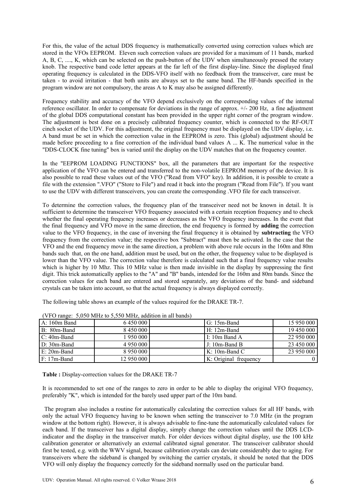For this, the value of the actual DDS frequency is mathematically converted using correction values which are stored in the VFOs EEPROM. Eleven such correction values are provided for a maximum of 11 bands, marked A, B, C, ...., K, which can be selected on the push-button of the UDV when simultaneously pressed the rotary knob. The respective band code letter appears at the far left of the first display-line. Since the displayed final operating frequency is calculated in the DDS-VFO itself with no feedback from the transceiver, care must be taken - to avoid irritation - that both units are always set to the same band. The HF-bands specified in the program window are not compulsory, the areas A to K may also be assigned differently.

Frequency stability and accuracy of the VFO depend exclusively on the corresponding values of the internal reference oscillator. In order to compensate for deviations in the range of approx. +/- 200 Hz, a fine adjustment of the global DDS computational constant has been provided in the upper right corner of the program window. The adjustment is best done on a precisely calibrated frequency counter, which is connected to the RF-OUT cinch socket of the UDV. For this adjustment, the original frequency must be displayed on the UDV display, i.e. A band must be set in which the correction value in the EEPROM is zero. This (global) adjustment should be made before proceeding to a fine correction of the individual band values A ... K. The numerical value in the "DDS-CLOCK fine tuning" box is varied until the display on the UDV matches that on the frequency counter.

In the "EEPROM LOADING FUNCTIONS" box, all the parameters that are important for the respective application of the VFO can be entered and transferred to the non-volatile EEPROM memory of the device. It is also possible to read these values out of the VFO ("Read from VFO" key). In addition, it is possible to create a file with the extension ".VFO" ("Store to File") and read it back into the program ("Read from File"). If you want to use the UDV with different transceivers, you can create the corresponding .VFO file for each transceiver.

To determine the correction values, the frequency plan of the transceiver need not be known in detail. It is sufficient to determine the transceiver VFO frequency associated with a certain reception frequency and to check whether the final operating frequency increases or decreases as the VFO frequency increases. In the event that the final frequency and VFO move in the same direction, the end frequency is formed by **adding** the correction value to the VFO frequency, in the case of inversing the final frequency it is obtained by **subtracting** the VFO frequency from the correction value; the respective box "Subtract" must then be activated. In the case that the VFO and the end frequency move in the same direction, a problem with above rule occurs in the 160m and 80m bands such that, on the one hand, addition must be used, but on the other, the frequency value to be displayed is lower than the VFO value. The correction value therefore is calculated such that a final frequency value results which is higher by 10 Mhz. This 10 MHz value is then made invisible in the display by suppressing the first digit. This trick automatically applies to the "A" and "B" bands, intended for the 160m and 80m bands. Since the correction values for each band are entered and stored separately, any deviations of the band- and sideband crystals can be taken into account, so that the actual frequency is always displayed correctly.

The following table shows an example of the values required for the DRAKE TR-7.

| l A: 160m Band | 6 450 000       | $G: 15m-Band$         | 15 950 000 |
|----------------|-----------------|-----------------------|------------|
| B: 80m-Band    | 8 450 000       | $H: 12m$ -Band        | 19 450 000 |
| $C: 40m$ -Band | 1950 000        | I: $10m$ Band A       | 22 950 000 |
| $D: 30m-Band$  | 4 9 5 0 0 0 0 0 | $J: 10m-Band B$       | 23 450 000 |
| E: 20m-Band    | 8 950 000       | $K: 10m$ -Band C      | 23 950 000 |
| F: 17m-Band    | 12 950 000      | K: Original frequency |            |

(VFO range: 5,050 MHz to 5,550 MHz, addition in all bands)

**Table :** Display-correction values for the DRAKE TR-7

It is recommended to set one of the ranges to zero in order to be able to display the original VFO frequency, preferably "K", which is intended for the barely used upper part of the 10m band.

 The program also includes a routine for automatically calculating the correction values for all HF bands, with only the actual VFO frequency having to be known when setting the transceiver to 7.0 MHz (in the program window at the bottom right). However, it is always advisable to fine-tune the automatically calculated values for each band. If the transceiver has a digital display, simply change the correction values until the DDS LCDindicator and the display in the transceiver match. For older devices without digital display, use the 100 kHz calibration generator or alternatively an external calibrated signal generator. The transceiver calibrator should first be tested, e.g. with the WWV signal, because calibration crystals can deviate considerably due to aging. For transceivers where the sideband is changed by switching the carrier crystals, it should be noted that the DDS VFO will only display the frequency correctly for the sideband normally used on the particular band.